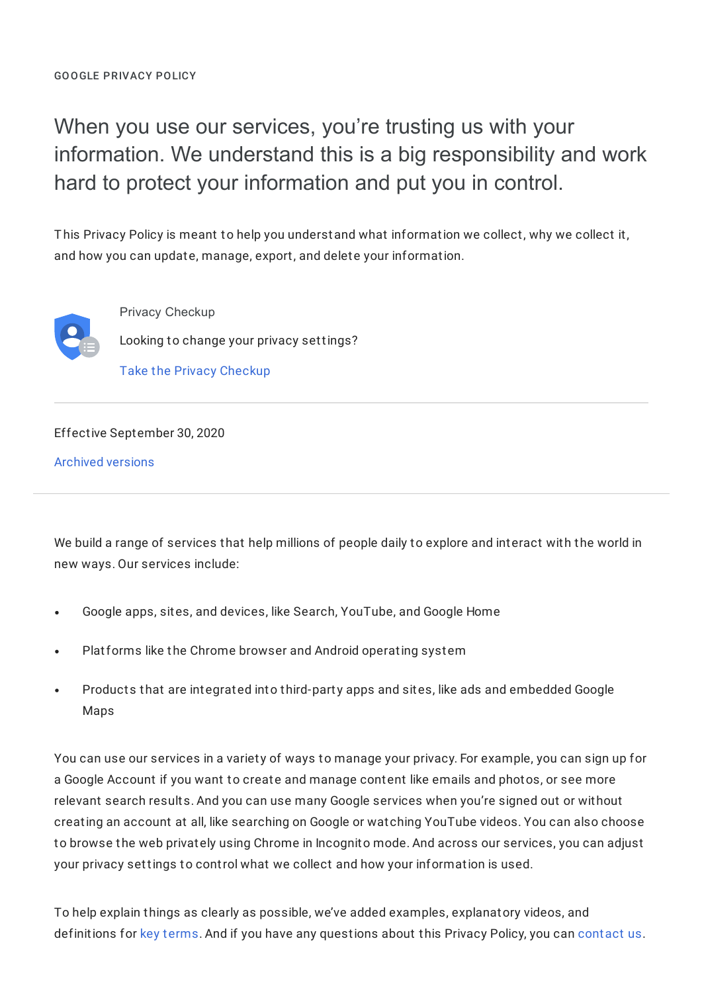When you use our services, you're trusting us with your information. We understand this is a big responsibility and work hard to protect your information and put you in control.

This Privacy Policy is meant to help you understand what information we collect, why we collect it, and how you can update, manage, export, and delete your information.



Privacy Checkup Looking to change your privacy settings?

Take the Privacy [Checkup](https://myaccount.google.com/privacycheckup?utm_source=pp&utm_medium=Promo-in-product&utm_campaign=pp_intro)

Effective September 30, 2020

[Archived](https://policies.google.com/privacy/archive) versions

We build a range of services that help millions of people daily to explore and interact with the world in new ways. Our services include:

- Google apps, sites, and devices, like Search, YouTube, and Google Home
- Platforms like the Chrome browser and Android operating system
- Products that are integrated into third-party apps and sites, like ads and embedded Google Maps

You can use our services in a variety of ways to manage your privacy. For example, you can sign up for a Google Account if you want to create and manage content like emails and photos, or see more relevant search results. And you can use many Google services when you're signed out or without creating an account at all, like searching on Google or watching YouTube videos. You can also choose to browse the web privately using Chrome in Incognito mode. And across our services, you can adjust your privacy settings to control what we collect and how your information is used.

To help explain things as clearly as possible, we've added examples, explanatory videos, and definitions for key [terms.](https://policies.google.com/privacy/key-terms#key-terms) And if you have any questions about this Privacy Policy, you can [contact](https://support.google.com/policies?p=privpol_privts) us.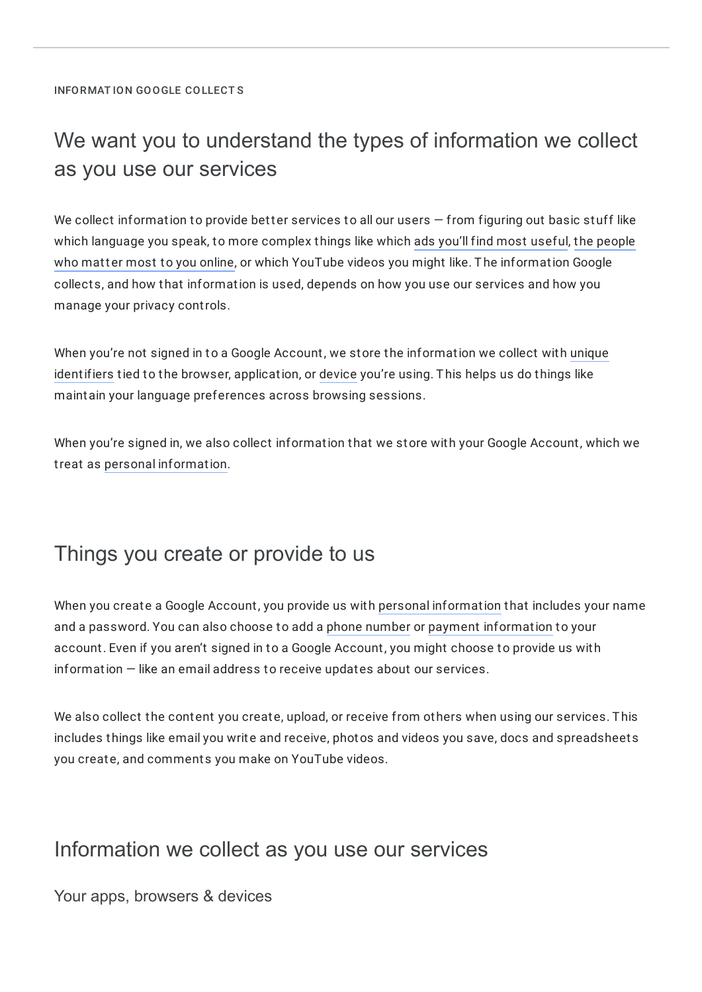# We want you to understand the types of information we collect as you use our services

We collect information to provide better services to all our users - from figuring out basic stuff like which language you speak, to more complex things like which ads you'll find most [useful](https://policies.google.com/privacy#footnote-useful-ads), the people who matter most to you online, or which YouTube videos you might like. The [information](https://policies.google.com/privacy#footnote-people-online) Google collects, and how that information is used, depends on how you use our services and how you manage your privacy controls.

When you're not signed in to a Google Account, we store the [information](https://policies.google.com/privacy#footnote-unique-id) we collect with unique identifiers tied to the browser, application, or [device](https://policies.google.com/privacy#footnote-device) you're using. This helps us do things like maintain your language preferences across browsing sessions.

When you're signed in, we also collect information that we store with your Google Account, which we treat as personal [information.](https://policies.google.com/privacy#footnote-personal-info)

## Things you create or provide to us

When you create a Google Account, you provide us with personal [information](https://policies.google.com/privacy#footnote-personal-info) that includes your name and a password. You can also choose to add a phone [number](https://policies.google.com/privacy#footnote-phone-number) or payment [information](https://policies.google.com/privacy#footnote-payment-info) to your account. Even if you aren't signed in to a Google Account, you might choose to provide us with information — like an email address to receive updates about our services.

We also collect the content you create, upload, or receive from others when using our services. This includes things like email you write and receive, photos and videos you save, docs and spreadsheets you create, and comments you make on YouTube videos.

## Information we collect as you use our services

Your apps, browsers & devices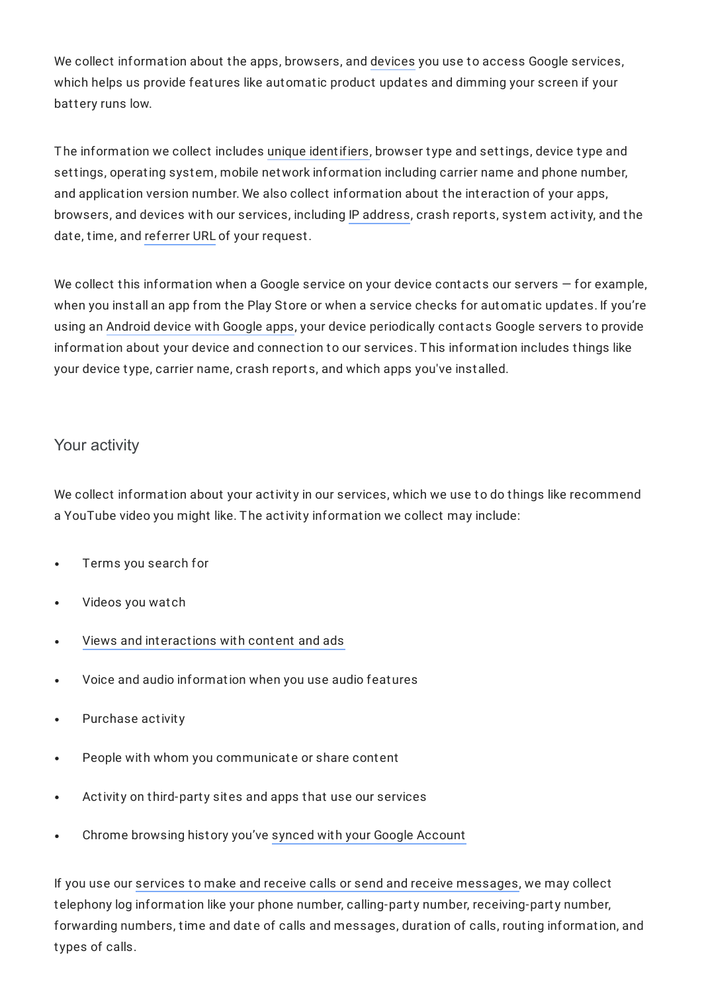We collect information about the apps, browsers, and [devices](https://policies.google.com/privacy#footnote-devices) you use to access Google services, which helps us provide features like automatic product updates and dimming your screen if your battery runs low.

The information we collect includes unique [identifiers,](https://policies.google.com/privacy#footnote-unique-id) browser type and settings, device type and settings, operating system, mobile network information including carrier name and phone number, and application version number. We also collect information about the interaction of your apps, browsers, and devices with our services, including IP [address](https://policies.google.com/privacy#footnote-ip), crash reports, system activity, and the date, time, and [referrer](https://policies.google.com/privacy#footnote-referrer-url) URL of your request.

We collect this information when a Google service on your device contacts our servers – for example, when you install an app from the Play Store or when a service checks for automatic updates. If you're using an [Android](https://policies.google.com/privacy#footnote-android-device) device with Google apps, your device periodically contacts Google servers to provide information about your device and connection to our services. This information includes things like your device type, carrier name, crash reports, and which apps you've installed.

#### Your activity

We collect information about your activity in our services, which we use to do things like recommend a YouTube video you might like. The activity information we collect may include:

- Terms you search for  $\bullet$
- Videos you watch  $\bullet$
- Views and [interactions](https://policies.google.com/privacy#footnote-content-views) with content and ads
- Voice and audio information when you use audio features
- Purchase activity
- People with whom you communicate or share content
- Activity on third-party sites and apps that use our services
- Chrome browsing history you've synced with your Google [Account](https://policies.google.com/privacy#footnote-chrome-sync)

If you use our services to make and receive calls or send and receive [messages](https://policies.google.com/privacy#footnote-calls-messages), we may collect telephony log information like your phone number, calling-party number, receiving-party number, forwarding numbers, time and date of calls and messages, duration of calls, routing information, and types of calls.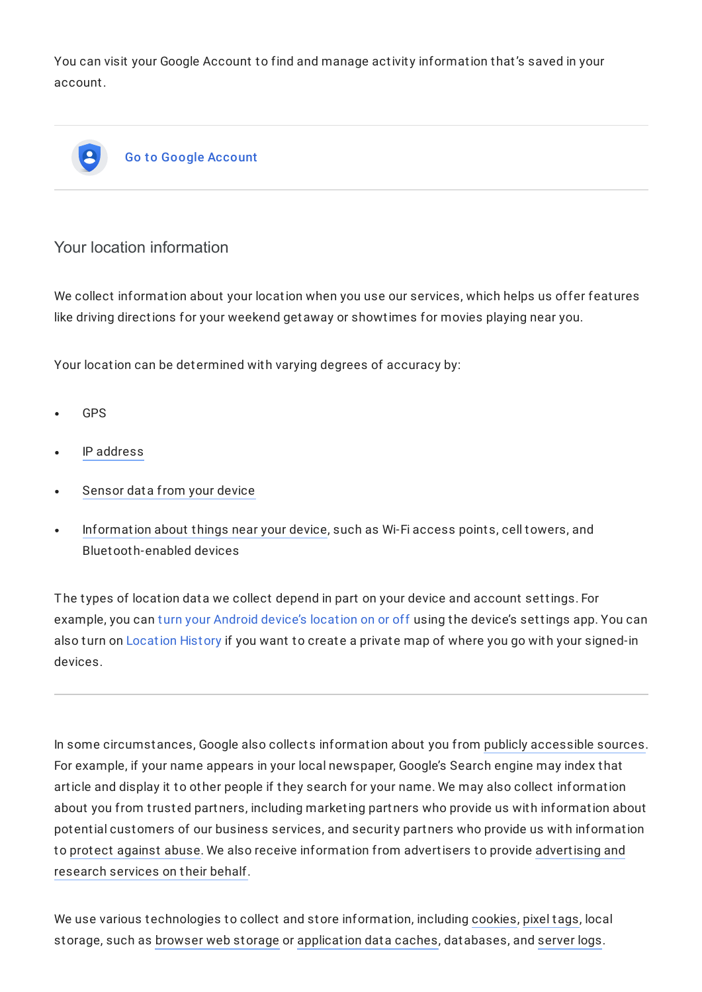You can visit your Google Account to find and manage activity information that's saved in your account.



## Your location information

We collect information about your location when you use our services, which helps us offer features like driving directions for your weekend getaway or showtimes for movies playing near you.

Your location can be determined with varying degrees of accuracy by:

- GPS
- IP [address](https://policies.google.com/privacy#footnote-ip)
- [Sensor](https://policies.google.com/privacy#footnote-sensor-data) data from your device
- [Information](https://policies.google.com/privacy#footnote-near-device) about things near your device, such as Wi-Fi access points, cell towers, and Bluetooth-enabled devices

The types of location data we collect depend in part on your device and account settings. For example, you can turn your Android device's [location](https://support.google.com/accounts?p=privpol_location) on or off using the device's settings app. You can also turn on [Location](https://support.google.com/accounts?p=privpol_lochistory) History if you want to create a private map of where you go with your signed-in devices.

In some circumstances, Google also collects information about you from publicly [accessible](https://policies.google.com/privacy#footnote-sources) sources. For example, if your name appears in your local newspaper, Google's Search engine may index that article and display it to other people if they search for your name. We may also collect information about you from trusted partners, including marketing partners who provide us with information about potential customers of our business services, and security partners who provide us with information to protect [against](https://policies.google.com/privacy#footnote-against-abuse) abuse. We also receive [information](https://policies.google.com/privacy#footnote-ad-services) from advertisers to provide advertising and research services on their behalf.

We use various technologies to collect and store information, including [cookies,](https://policies.google.com/privacy#footnote-cookies) [pixel](https://policies.google.com/privacy#footnote-pixel) tags, local storage, such as [browser](https://policies.google.com/privacy#footnote-browser-storage) web storage or [application](https://policies.google.com/privacy#footnote-application-data-cache) data caches, databases, and [server](https://policies.google.com/privacy#footnote-server-logs) logs.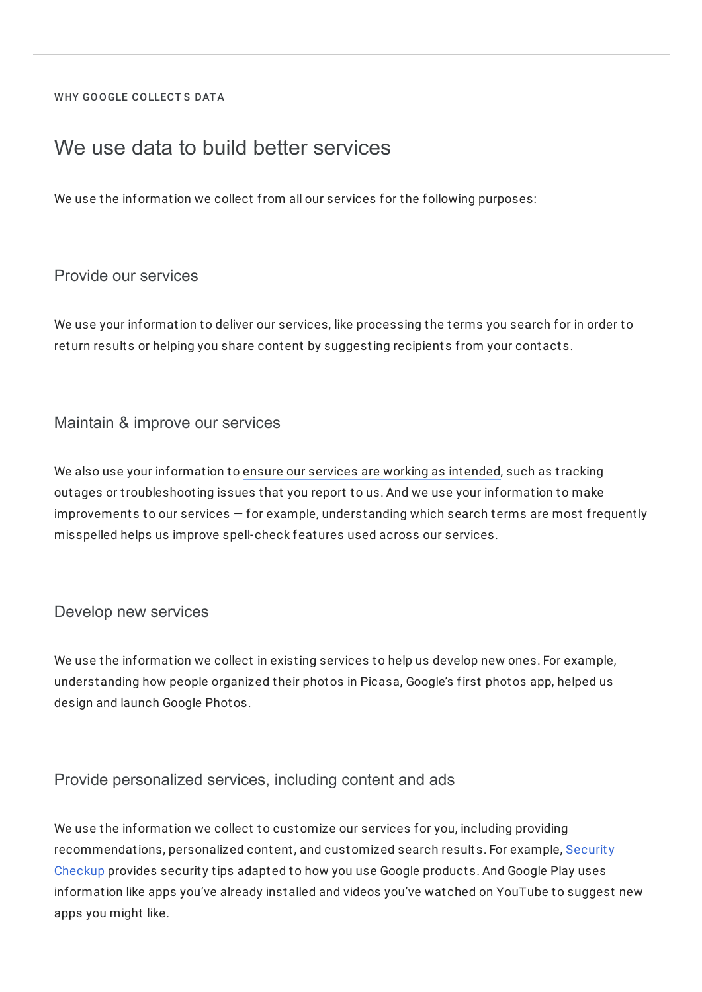WHY GOOGLE COLLECTS DATA

## We use data to build better services

We use the information we collect from all our services for the following purposes:

#### Provide our services

We use your information to deliver our [services](https://policies.google.com/privacy#footnote-deliver-services), like processing the terms you search for in order to return results or helping you share content by suggesting recipients from your contacts.

### Maintain & improve our services

We also use your information to ensure our services are working as [intended,](https://policies.google.com/privacy#footnote-ensure-working) such as tracking outages or [troubleshooting](https://policies.google.com/privacy#footnote-make-improvements) issues that you report to us. And we use your information to make improvements to our services — for example, understanding which search terms are most frequently misspelled helps us improve spell-check features used across our services.

### Develop new services

We use the information we collect in existing services to help us develop new ones. For example, understanding how people organized their photos in Picasa, Google's first photos app, helped us design and launch Google Photos.

### Provide personalized services, including content and ads

We use the information we collect to customize our services for you, including providing [recommendations,](https://myaccount.google.com/security-checkup?utm_source=pp) personalized content, and [customized](https://policies.google.com/privacy#footnote-customized-search) search results. For example, Security Checkup provides security tips adapted to how you use Google products. And Google Play uses information like apps you've already installed and videos you've watched on YouTube to suggest new apps you might like.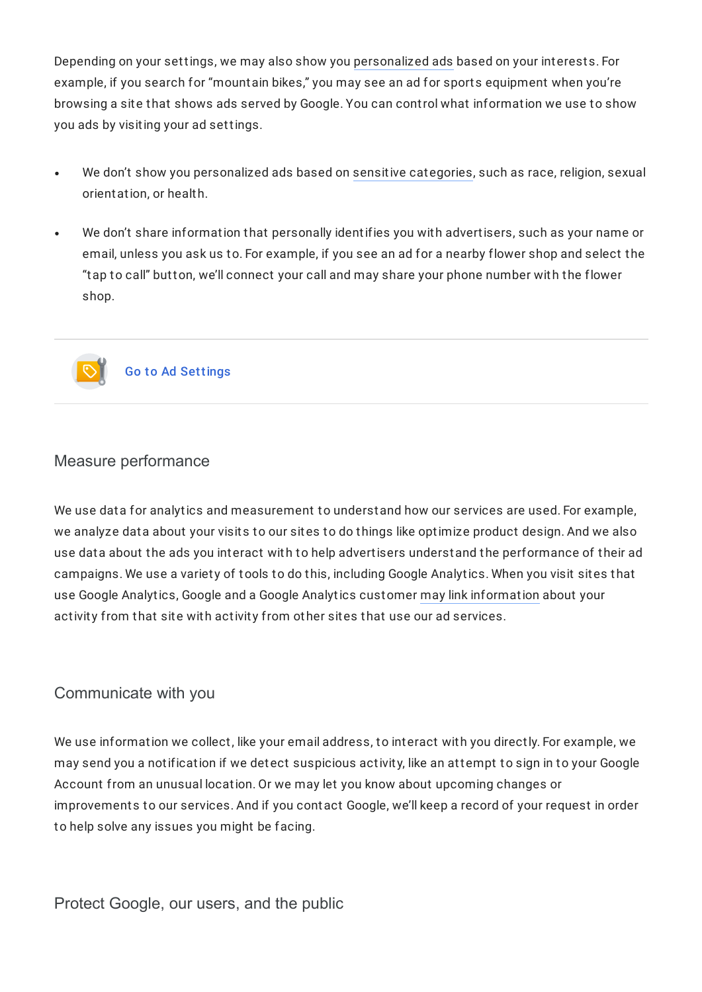Depending on your settings, we may also show you [personalized](https://policies.google.com/privacy#footnote-personalized-ads) ads based on your interests. For example, if you search for "mountain bikes," you may see an ad for sports equipment when you're browsing a site that shows ads served by Google. You can control what information we use to show you ads by visiting your ad settings.

- We don't show you personalized ads based on sensitive [categories](https://policies.google.com/privacy#footnote-sensitive-categories), such as race, religion, sexual orientation, or health.
- We don't share information that personally identifies you with advertisers, such as your name or email, unless you ask us to. For example, if you see an ad for a nearby flower shop and select the "tap to call" button, we'll connect your call and may share your phone number with the flower shop.



Go to Ad [Settings](https://adssettings.google.com/?utm_source=pp)

#### Measure performance

We use data for analytics and measurement to understand how our services are used. For example, we analyze data about your visits to our sites to do things like optimize product design. And we also use data about the ads you interact with to help advertisers understand the performance of their ad campaigns. We use a variety of tools to do this, including Google Analytics. When you visit sites that use Google Analytics, Google and a Google Analytics customer may link [information](https://policies.google.com/privacy#footnote-link-info) about your activity from that site with activity from other sites that use our ad services.

### Communicate with you

We use information we collect, like your email address, to interact with you directly. For example, we may send you a notification if we detect suspicious activity, like an attempt to sign in to your Google Account from an unusual location. Or we may let you know about upcoming changes or improvements to our services. And if you contact Google, we'll keep a record of your request in order to help solve any issues you might be facing.

Protect Google, our users, and the public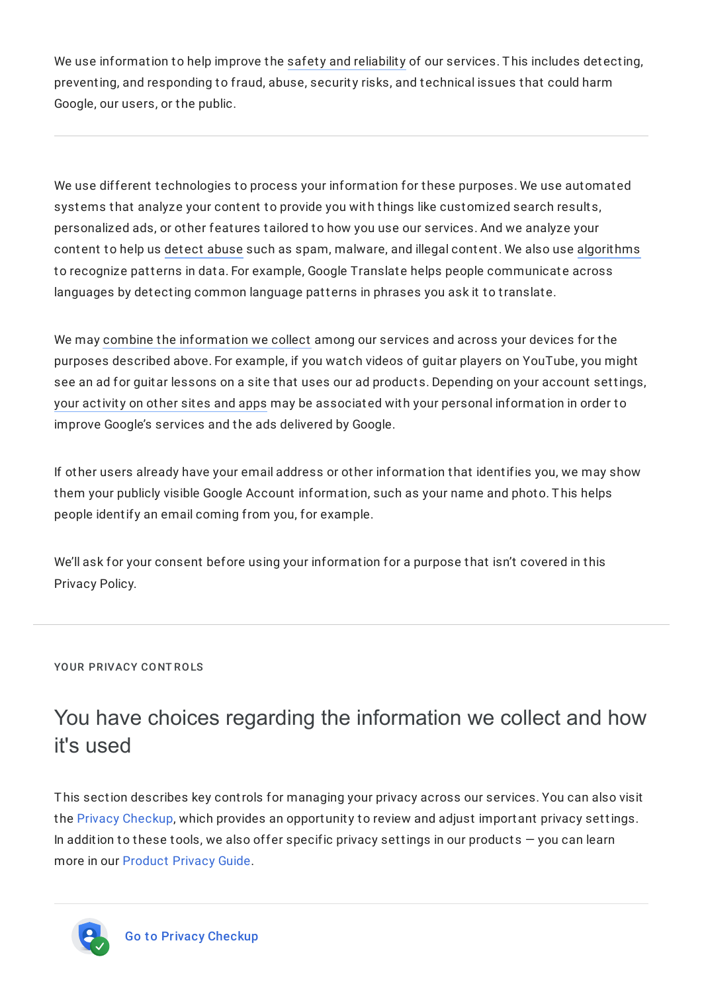We use information to help improve the safety and [reliability](https://policies.google.com/privacy#footnote-safety-reliability) of our services. This includes detecting, preventing, and responding to fraud, abuse, security risks, and technical issues that could harm Google, our users, or the public.

We use different technologies to process your information for these purposes. We use automated systems that analyze your content to provide you with things like customized search results, personalized ads, or other features tailored to how you use our services. And we analyze your content to help us [detect](https://policies.google.com/privacy#footnote-detect-abuse) abuse such as spam, malware, and illegal content. We also use [algorithms](https://policies.google.com/privacy#footnote-algorithm) to recognize patterns in data. For example, Google Translate helps people communicate across languages by detecting common language patterns in phrases you ask it to translate.

We may combine the [information](https://policies.google.com/privacy#footnote-combine-info) we collect among our services and across your devices for the purposes described above. For example, if you watch videos of guitar players on YouTube, you might see an ad for guitar lessons on a site that uses our ad products. Depending on your account settings, your [activity](https://policies.google.com/privacy#footnote-other-sites) on other sites and apps may be associated with your personal information in order to improve Google's services and the ads delivered by Google.

If other users already have your email address or other information that identifies you, we may show them your publicly visible Google Account information, such as your name and photo. This helps people identify an email coming from you, for example.

We'll ask for your consent before using your information for a purpose that isn't covered in this Privacy Policy.

YOUR PRIVACY CONTROLS

# You have choices regarding the information we collect and how it's used

This section describes key controls for managing your privacy across our services. You can also visit the Privacy [Checkup](https://myaccount.google.com/privacycheckup?utm_source=pp&utm_medium=Promo-in-product&utm_campaign=pp_body), which provides an opportunity to review and adjust important privacy settings. In addition to these tools, we also offer specific privacy settings in our products — you can learn more in our [Product](https://policies.google.com/technologies/product-privacy) Privacy Guide.

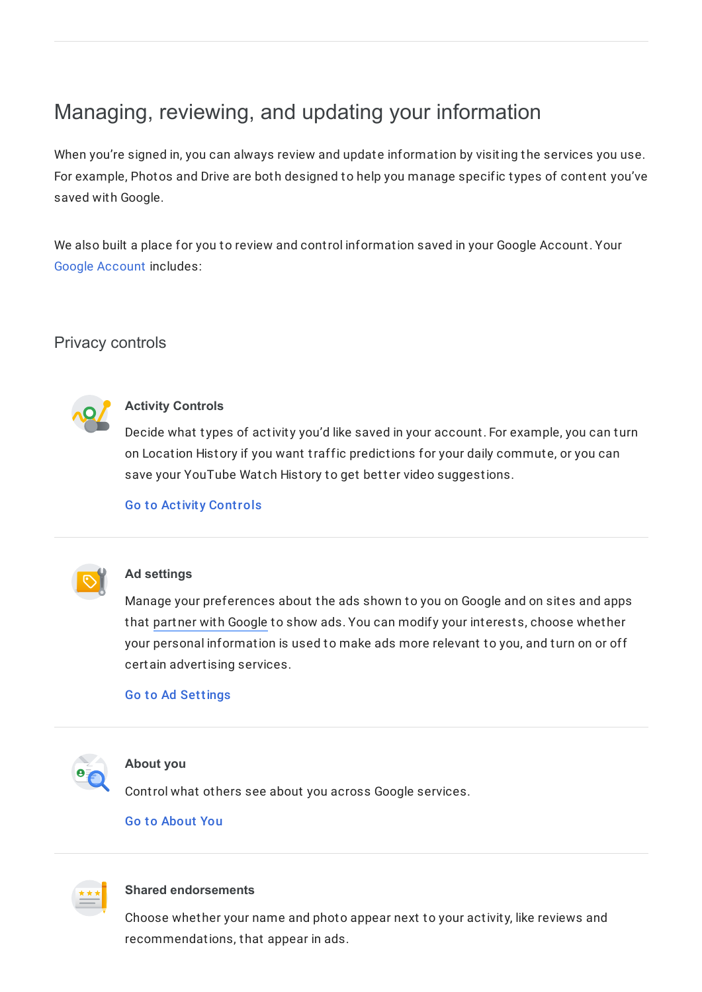## Managing, reviewing, and updating your information

When you're signed in, you can always review and update information by visiting the services you use. For example, Photos and Drive are both designed to help you manage specific types of content you've saved with Google.

We also built a place for you to review and control information saved in your Google Account. Your Google [Account](https://myaccount.google.com/) includes:

#### Privacy controls



#### **Activity Controls**

Decide what types of activity you'd like saved in your account. For example, you can turn on Location History if you want traffic predictions for your daily commute, or you can save your YouTube Watch History to get better video suggestions.

Go to Activity [Controls](https://myaccount.google.com/activitycontrols?utm_source=pp)



#### **Ad settings**

Manage your preferences about the ads shown to you on Google and on sites and apps that [partner](https://policies.google.com/privacy#footnote-partner) with Google to show ads. You can modify your interests, choose whether your personal information is used to make ads more relevant to you, and turn on or off certain advertising services.

#### Go to Ad [Settings](https://adssettings.google.com/?utm_source=pp)



#### **About you**

Control what others see about you across Google services.

#### Go to [About](https://aboutme.google.com/?utm_source=pp) You

#### **Shared endorsements**

Choose whether your name and photo appear next to your activity, like reviews and recommendations, that appear in ads.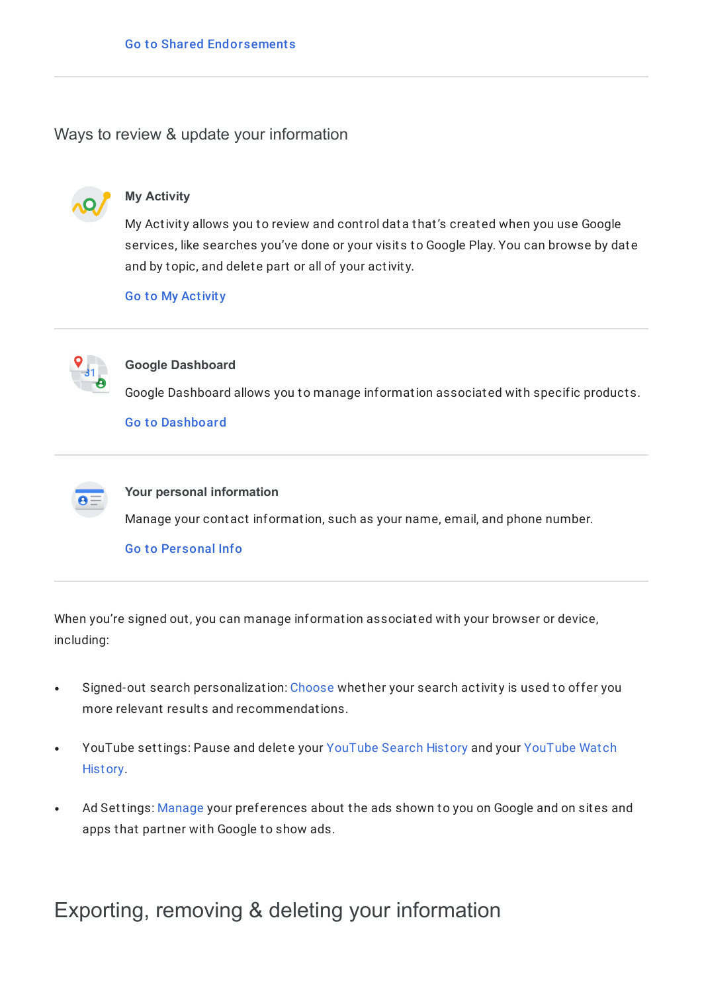Ways to review & update your information



#### **My Activity**

My Activity allows you to review and control data that's created when you use Google services, like searches you've done or your visits to Google Play. You can browse by date and by topic, and delete part or all of your activity.

Go to My [Activity](https://myactivity.google.com/myactivity?utm_source=pp)



#### **Google Dashboard**

Google Dashboard allows you to manage information associated with specific products.

#### Go to [Dashboard](https://myaccount.google.com/dashboard?utm_source=pp)



**Your personal information**

Manage your contact information, such as your name, email, and phone number.

#### Go to [Personal](https://myaccount.google.com/personal-info?utm_source=pp) Info

When you're signed out, you can manage information associated with your browser or device, including:

- Signed-out search personalization: [Choose](https://www.google.com/history/optout?utm_source=pp) whether your search activity is used to offer you more relevant results and recommendations.
- YouTube [settings:](https://www.youtube.com/feed/history?utm_source=pp) Pause and delete your [YouTube](https://www.youtube.com/feed/history/search_history?utm_source=pp) Search History and your YouTube Watch  $\bullet$ History.
- Ad Settings: [Manage](https://adssettings.google.com/?utm_source=pp) your preferences about the ads shown to you on Google and on sites and apps that partner with Google to show ads.

## Exporting, removing & deleting your information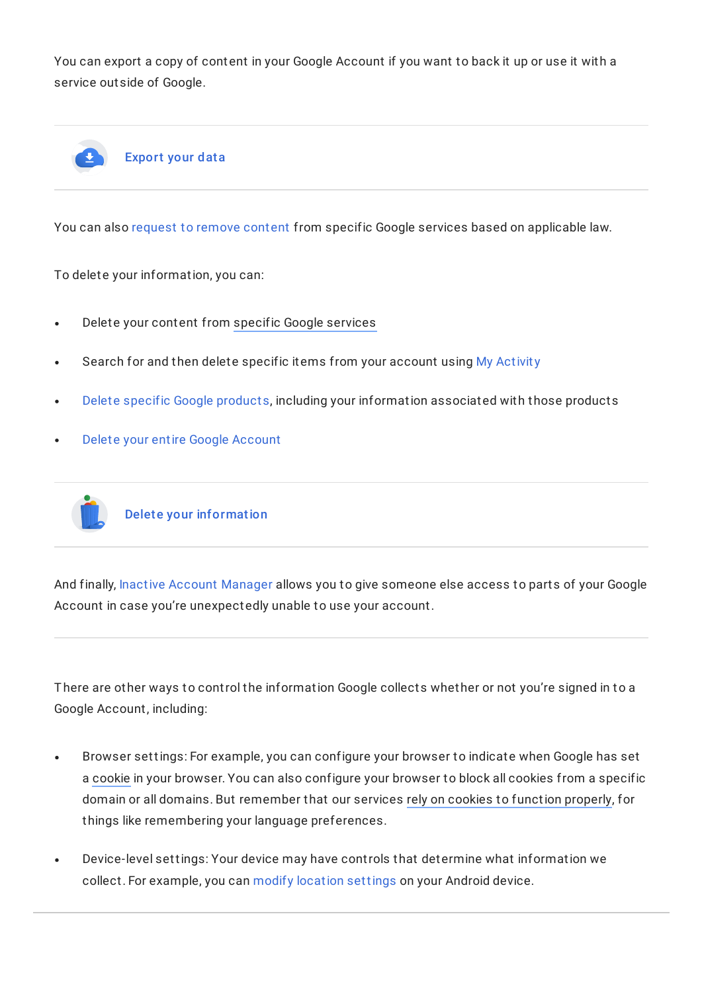You can export a copy of content in your Google Account if you want to back it up or use it with a service outside of Google.



[Export](https://takeout.google.com/?utm_source=pp) your data

You can also request to remove [content](https://support.google.com/legal?p=privpol_remove) from specific Google services based on applicable law.

To delete your information, you can:

- Delete your content from specific Google [services](https://policies.google.com/privacy#footnote-delete-specific)
- Search for and then delete specific items from your account using My [Activity](https://myactivity.google.com/?utm_source=pp)
- Delete specific Google [products](https://myaccount.google.com/deleteservices?utm_source=pp), including your information associated with those products
- Delete your entire Google [Account](https://myaccount.google.com/deleteaccount?utm_source=pp)



Delete your [information](https://myaccount.google.com/delete-services-or-account?utm_source=pp)

And finally, Inactive Account [Manager](https://myaccount.google.com/inactive?utm_source=pp) allows you to give someone else access to parts of your Google Account in case you're unexpectedly unable to use your account.

There are other ways to control the information Google collects whether or not you're signed in to a Google Account, including:

- Browser settings: For example, you can configure your browser to indicate when Google has set a [cookie](https://policies.google.com/privacy#footnote-cookies) in your browser. You can also configure your browser to block all cookies from a specific domain or all domains. But remember that our services rely on cookies to [function](https://policies.google.com/privacy#footnote-rely-on-cookies) properly, for things like remembering your language preferences.
- Device-level settings: Your device may have controls that determine what information we collect. For example, you can modify location [settings](https://support.google.com/websearch?p=privpol_locserp) on your Android device.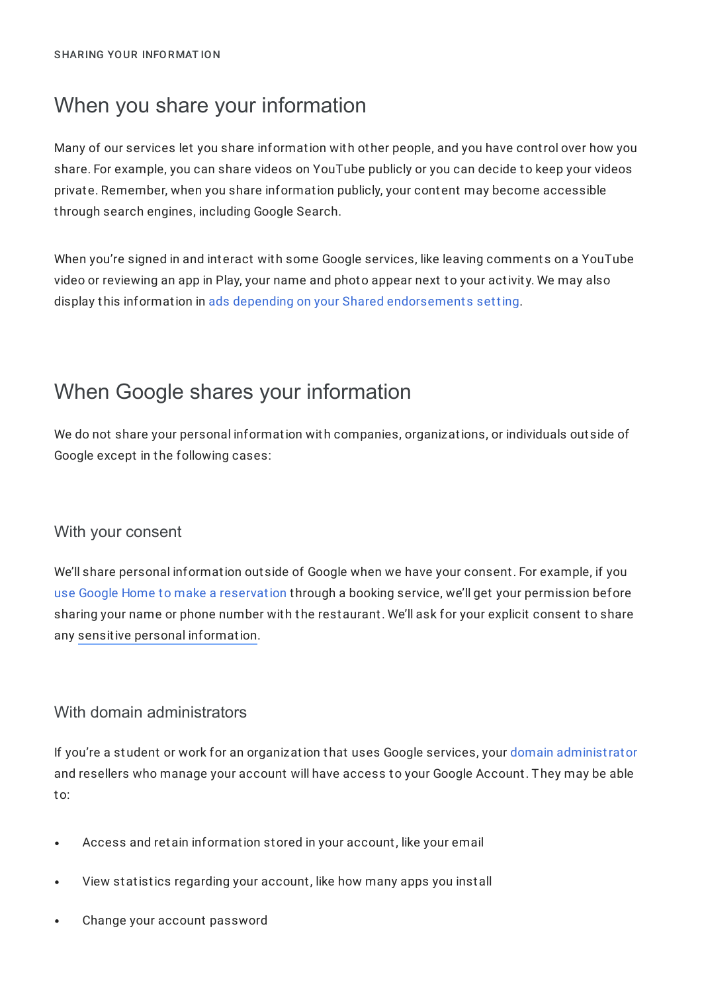# When you share your information

Many of our services let you share information with other people, and you have control over how you share. For example, you can share videos on YouTube publicly or you can decide to keep your videos private. Remember, when you share information publicly, your content may become accessible through search engines, including Google Search.

When you're signed in and interact with some Google services, like leaving comments on a YouTube video or reviewing an app in Play, your name and photo appear next to your activity. We may also display this information in ads depending on your Shared [endorsements](https://support.google.com/accounts?p=privpol_endorse) setting.

# When Google shares your information

We do not share your personal information with companies, organizations, or individuals outside of Google except in the following cases:

### With your consent

We'll share personal information outside of Google when we have your consent. For example, if you use Google Home to make a [reservation](https://support.google.com/googlehome?p=privpol_homedata) through a booking service, we'll get your permission before sharing your name or phone number with the restaurant. We'll ask for your explicit consent to share any sensitive personal [information](https://policies.google.com/privacy#footnote-sensitive-info).

### With domain administrators

If you're a student or work for an organization that uses Google services, your domain [administrator](https://support.google.com/a?p=privpol_admin) and resellers who manage your account will have access to your Google Account. They may be able to:

- Access and retain information stored in your account, like your email
- View statistics regarding your account, like how many apps you install  $\bullet$
- Change your account password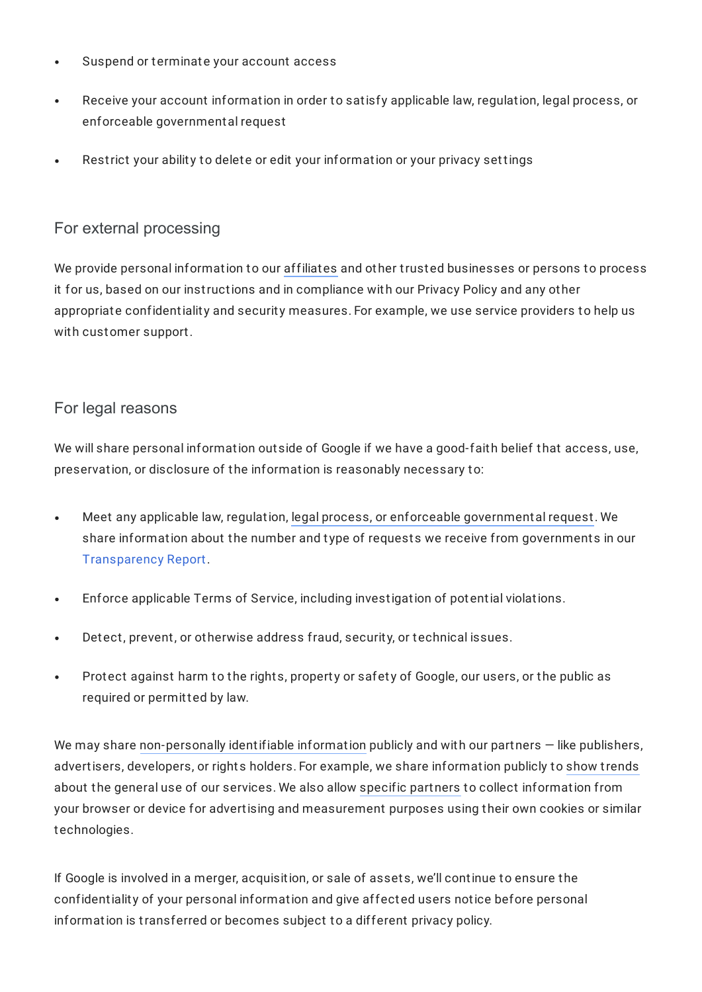- Suspend or terminate your account access  $\bullet$
- Receive your account information in order to satisfy applicable law, regulation, legal process, or  $\bullet$ enforceable governmental request
- Restrict your ability to delete or edit your information or your privacy settings

#### For external processing

We provide personal information to our [affiliates](https://policies.google.com/privacy#footnote-affiliates) and other trusted businesses or persons to process it for us, based on our instructions and in compliance with our Privacy Policy and any other appropriate confidentiality and security measures. For example, we use service providers to help us with customer support.

#### For legal reasons

We will share personal information outside of Google if we have a good-faith belief that access, use, preservation, or disclosure of the information is reasonably necessary to:

- Meet any applicable law, regulation, legal process, or enforceable [governmental](https://policies.google.com/privacy#footnote-legal) request. We share information about the number and type of requests we receive from governments in our [Transparency](https://transparencyreport.google.com/user-data/overview) Report.
- Enforce applicable Terms of Service, including investigation of potential violations.
- Detect, prevent, or otherwise address fraud, security, or technical issues.
- Protect against harm to the rights, property or safety of Google, our users, or the public as required or permitted by law.

We may share [non-personally](https://policies.google.com/privacy#footnote-info) identifiable information publicly and with our partners — like publishers, advertisers, developers, or rights holders. For example, we share information publicly to show [trends](https://policies.google.com/privacy#footnote-trends) about the general use of our services. We also allow specific [partners](https://policies.google.com/privacy#footnote-specific-partners) to collect information from your browser or device for advertising and measurement purposes using their own cookies or similar technologies.

If Google is involved in a merger, acquisition, or sale of assets, we'll continue to ensure the confidentiality of your personal information and give affected users notice before personal information is transferred or becomes subject to a different privacy policy.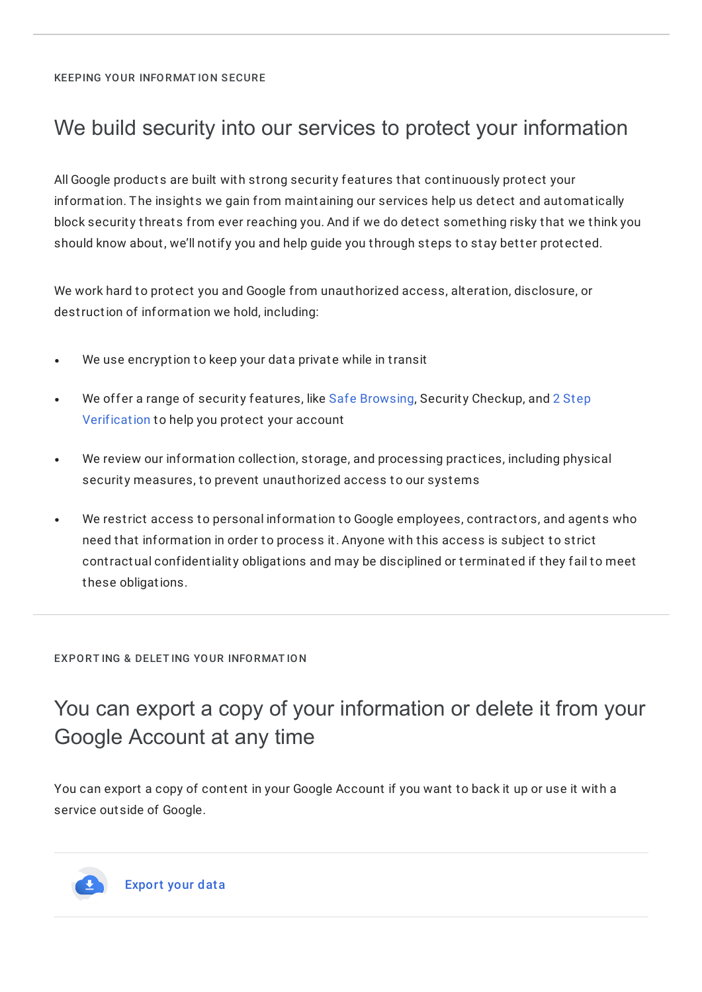# We build security into our services to protect your information

All Google products are built with strong security features that continuously protect your information. The insights we gain from maintaining our services help us detect and automatically block security threats from ever reaching you. And if we do detect something risky that we think you should know about, we'll notify you and help guide you through steps to stay better protected.

We work hard to protect you and Google from unauthorized access, alteration, disclosure, or destruction of information we hold, including:

- We use encryption to keep your data private while in transit
- We offer a range of security features, like Safe [Browsing](https://safebrowsing.google.com/?utm_source=pp), Security Checkup, and 2 Step [Verification](https://www.google.com/landing/2step/?utm_source=pp) to help you protect your account
- We review our information collection, storage, and processing practices, including physical security measures, to prevent unauthorized access to our systems
- We restrict access to personal information to Google employees, contractors, and agents who need that information in order to process it. Anyone with this access is subject to strict contractual confidentiality obligations and may be disciplined or terminated if they fail to meet these obligations.

EXPORT ING & DELET ING YOUR INFORMAT ION

# You can export a copy of your information or delete it from your Google Account at any time

You can export a copy of content in your Google Account if you want to back it up or use it with a service outside of Google.

[Export](https://takeout.google.com/?utm_source=pp) your data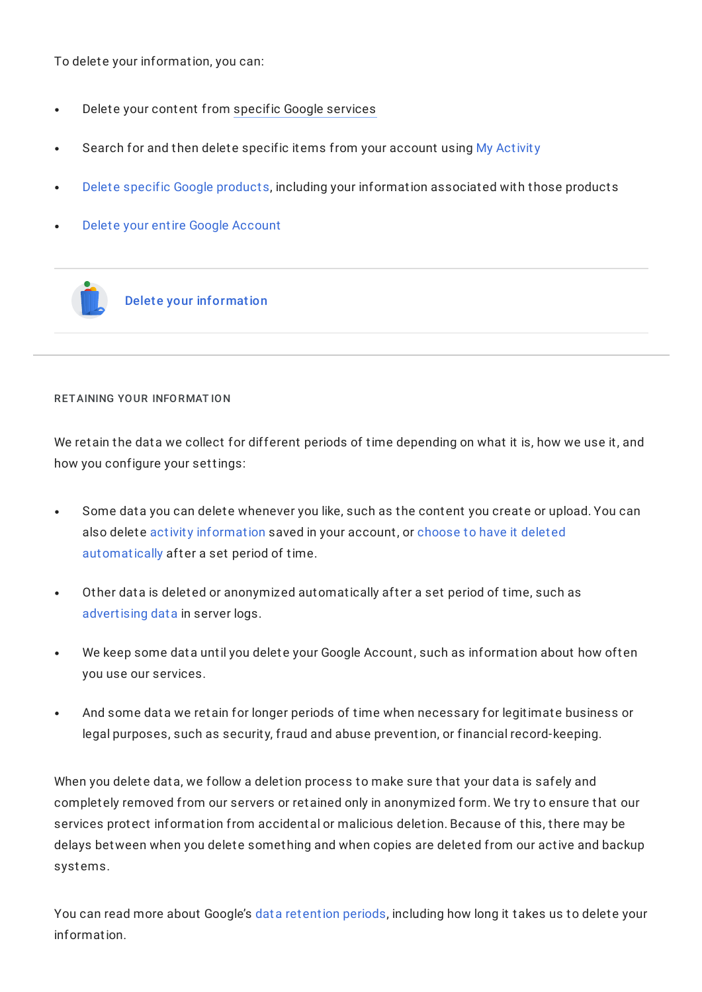To delete your information, you can:

- Delete your content from specific Google [services](https://policies.google.com/privacy#footnote-delete-specific)
- Search for and then delete specific items from your account using My [Activity](https://myactivity.google.com/?utm_source=pp)
- Delete specific Google [products](https://myaccount.google.com/deleteservices?utm_source=pp), including your information associated with those products
- Delete your entire Google [Account](https://myaccount.google.com/deleteaccount?utm_source=pp)



Delete your [information](https://myaccount.google.com/delete-services-or-account?utm_source=pp)

#### RETAINING YOUR INFORMAT ION

We retain the data we collect for different periods of time depending on what it is, how we use it, and how you configure your settings:

- Some data you can delete whenever you like, such as the content you create or upload. You can  $\bullet$ also delete activity [information](https://myactivity.google.com/myactivity) saved in your account, or choose to have it deleted [automatically](https://support.google.com/accounts/answer/465?authuser=0#auto-delete) after a set period of time.
- Other data is deleted or anonymized automatically after a set period of time, such as  $\bullet$ [advertising](https://policies.google.com/technologies/ads) data in server logs.
- We keep some data until you delete your Google Account, such as information about how often you use our services.
- And some data we retain for longer periods of time when necessary for legitimate business or legal purposes, such as security, fraud and abuse prevention, or financial record-keeping.

When you delete data, we follow a deletion process to make sure that your data is safely and completely removed from our servers or retained only in anonymized form. We try to ensure that our services protect information from accidental or malicious deletion. Because of this, there may be delays between when you delete something and when copies are deleted from our active and backup systems.

You can read more about Google's data [retention](https://policies.google.com/technologies/retention) periods, including how long it takes us to delete your information.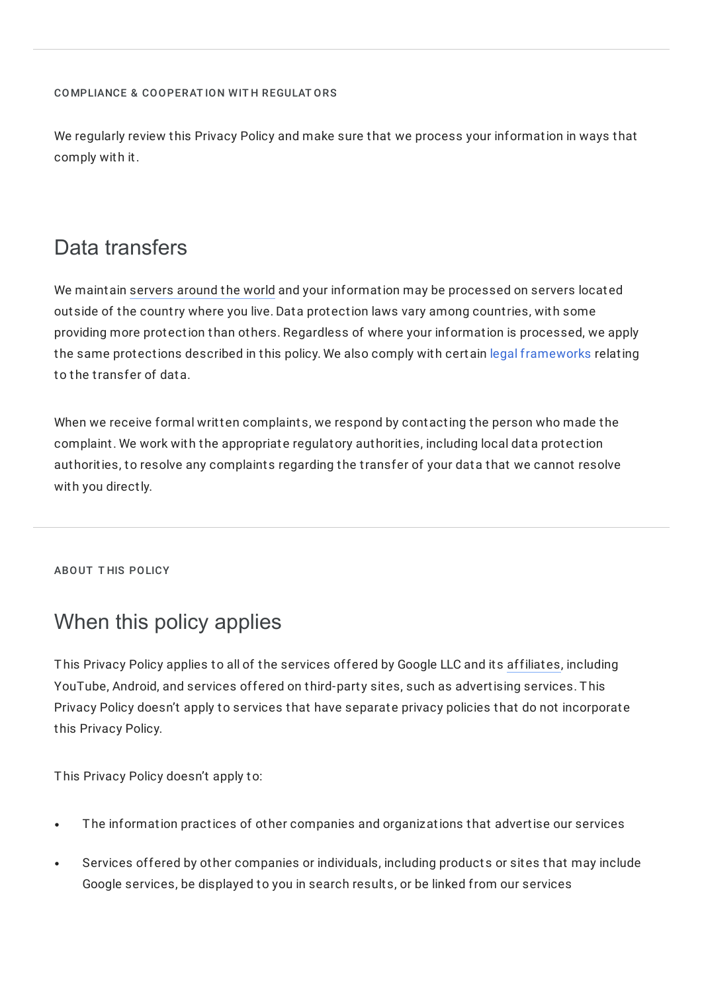#### COMPLIANCE & COOPERAT ION WIT H REGULAT ORS

We regularly review this Privacy Policy and make sure that we process your information in ways that comply with it.

## Data transfers

We maintain [servers](https://policies.google.com/privacy#footnote-servers) around the world and your information may be processed on servers located outside of the country where you live. Data protection laws vary among countries, with some providing more protection than others. Regardless of where your information is processed, we apply the same protections described in this policy. We also comply with certain legal [frameworks](https://policies.google.com/privacy/frameworks) relating to the transfer of data.

When we receive formal written complaints, we respond by contacting the person who made the complaint. We work with the appropriate regulatory authorities, including local data protection authorities, to resolve any complaints regarding the transfer of your data that we cannot resolve with you directly.

ABOUT T HIS POLICY

## When this policy applies

This Privacy Policy applies to all of the services offered by Google LLC and its [affiliates,](https://policies.google.com/privacy#footnote-affiliates) including YouTube, Android, and services offered on third-party sites, such as advertising services. This Privacy Policy doesn't apply to services that have separate privacy policies that do not incorporate this Privacy Policy.

This Privacy Policy doesn't apply to:

- The information practices of other companies and organizations that advertise our services
- Services offered by other companies or individuals, including products or sites that may include Google services, be displayed to you in search results, or be linked from our services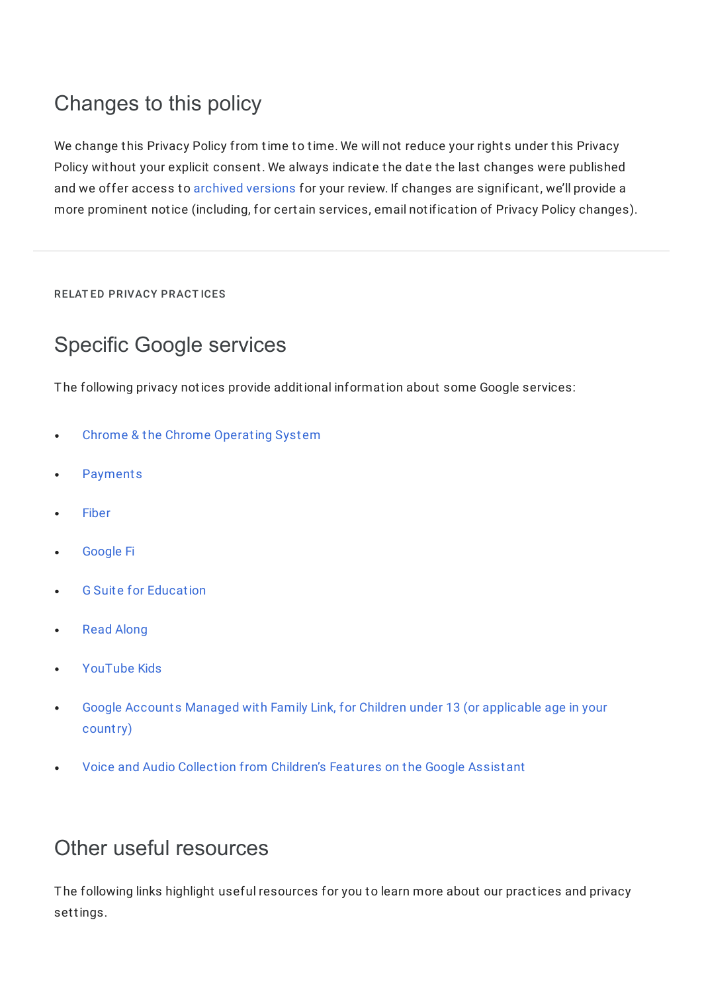# Changes to this policy

We change this Privacy Policy from time to time. We will not reduce your rights under this Privacy Policy without your explicit consent. We always indicate the date the last changes were published and we offer access to [archived](https://policies.google.com/privacy/archive) versions for your review. If changes are significant, we'll provide a more prominent notice (including, for certain services, email notification of Privacy Policy changes).

RELAT ED PRIVACY PRACT ICES

# Specific Google services

The following privacy notices provide additional information about some Google services:

- Chrome & the Chrome [Operating](https://www.google.com/chrome/intl/en/privacy.html) System  $\bullet$
- [Payments](https://payments.google.com/legaldocument?family=0.privacynotice&hl=en)  $\bullet$
- [Fiber](https://fiber.google.com/legal/privacy.html)
- [Google](https://fi.google.com/about/tos/#project-fi-privacy-notice) Fi
- G Suite for [Education](https://www.google.com/work/apps/terms/education_privacy.html)
- Read [Along](https://readalong.google/intl/en_CA/privacy)  $\bullet$
- [YouTube](https://kids.youtube.com/privacynotice) Kids  $\bullet$
- Google Accounts Managed with Family Link, for Children under 13 (or [applicable](https://families.google.com/familylink/privacy/child-policy/) age in your country)
- Voice and Audio [Collection](https://assistant.google.com/privacy-notice-childrens-features/) from Children's Features on the Google Assistant

## Other useful resources

The following links highlight useful resources for you to learn more about our practices and privacy settings.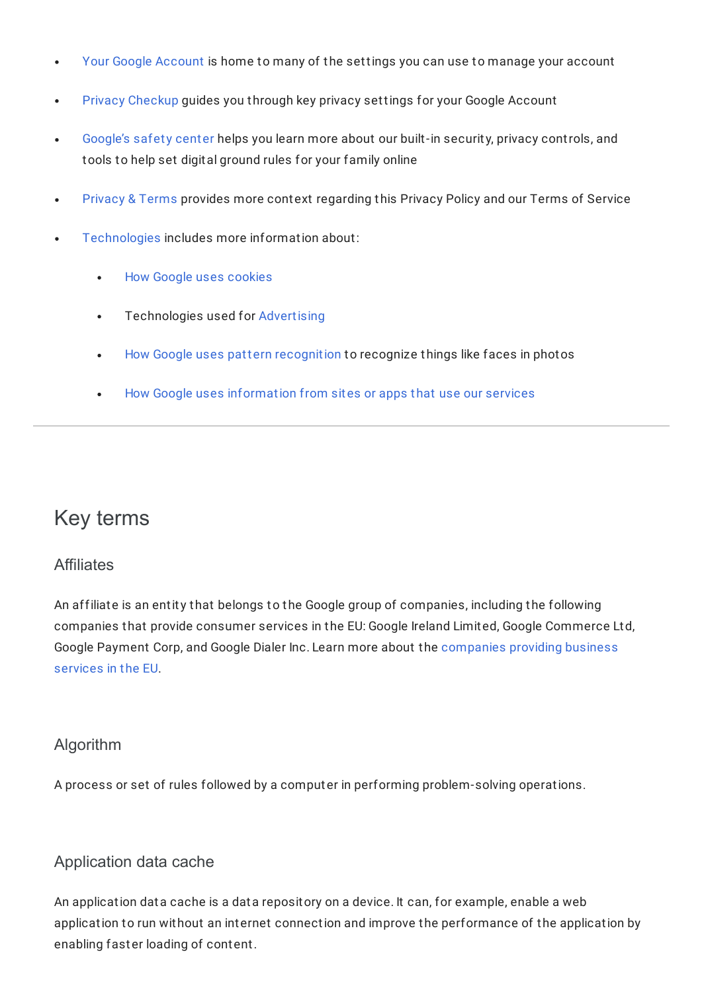- Your Google [Account](https://myaccount.google.com/) is home to many of the settings you can use to manage your account  $\bullet$
- Privacy [Checkup](https://myaccount.google.com/privacycheckup?utm_source=pp&utm_medium=Promo-in-product&utm_campaign=pp_body) guides you through key privacy settings for your Google Account  $\bullet$
- [Google's](https://www.google.com/intl/en/safetycenter/) safety center helps you learn more about our built-in security, privacy controls, and tools to help set digital ground rules for your family online
- [Privacy](https://policies.google.com/) & Terms provides more context regarding this Privacy Policy and our Terms of Service  $\bullet$
- [Technologies](https://policies.google.com/technologies) includes more information about:
	- How Google uses [cookies](https://policies.google.com/technologies/cookies)  $\bullet$
	- Technologies used for [Advertising](https://policies.google.com/technologies/ads)  $\bullet$
	- How Google uses pattern [recognition](https://policies.google.com/technologies/pattern-recognition) to recognize things like faces in photos  $\bullet$
	- $\bullet$ How Google uses [information](https://policies.google.com/technologies/partner-sites) from sites or apps that use our services

## Key terms

### **Affiliates**

An affiliate is an entity that belongs to the Google group of companies, including the following companies that provide consumer services in the EU: Google Ireland Limited, Google Commerce Ltd, Google Payment Corp, and Google Dialer Inc. Learn more about the [companies](https://privacy.google.com/businesses/affiliates) providing business services in the EU.

### Algorithm

A process or set of rules followed by a computer in performing problem-solving operations.

### Application data cache

An application data cache is a data repository on a device. It can, for example, enable a web application to run without an internet connection and improve the performance of the application by enabling faster loading of content.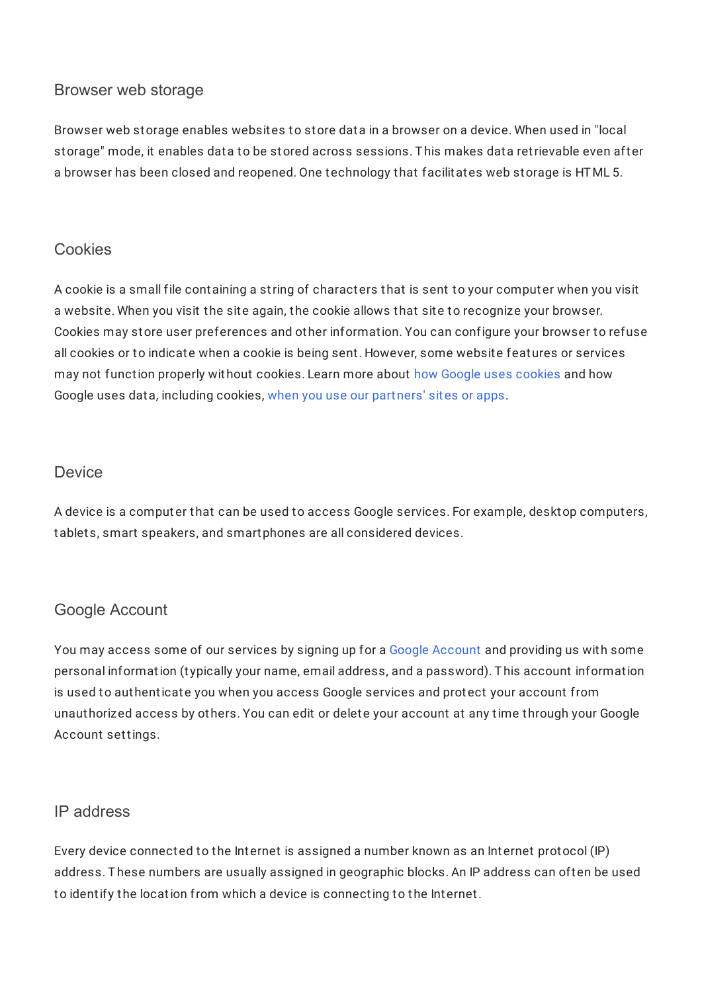#### Browser web storage

Browser web storage enables websites to store data in a browser on a device. When used in "local storage" mode, it enables data to be stored across sessions. This makes data retrievable even after a browser has been closed and reopened. One technology that facilitates web storage is HTML 5.

#### **Cookies**

A cookie is a small file containing a string of characters that is sent to your computer when you visit a website. When you visit the site again, the cookie allows that site to recognize your browser. Cookies may store user preferences and other information. You can configure your browser to refuse all cookies or to indicate when a cookie is being sent. However, some website features or services may not function properly without cookies. Learn more about how Google uses [cookies](https://policies.google.com/technologies/cookies) and how Google uses data, including cookies, when you use our [partners'](https://policies.google.com/technologies/partner-sites) sites or apps.

#### **Device**

A device is a computer that can be used to access Google services. For example, desktop computers, tablets, smart speakers, and smartphones are all considered devices.

## Google Account

You may access some of our services by signing up for a Google [Account](https://myaccount.google.com/) and providing us with some personal information (typically your name, email address, and a password). This account information is used to authenticate you when you access Google services and protect your account from unauthorized access by others. You can edit or delete your account at any time through your Google Account settings.

### IP address

Every device connected to the Internet is assigned a number known as an Internet protocol (IP) address. These numbers are usually assigned in geographic blocks. An IP address can often be used to identify the location from which a device is connecting to the Internet.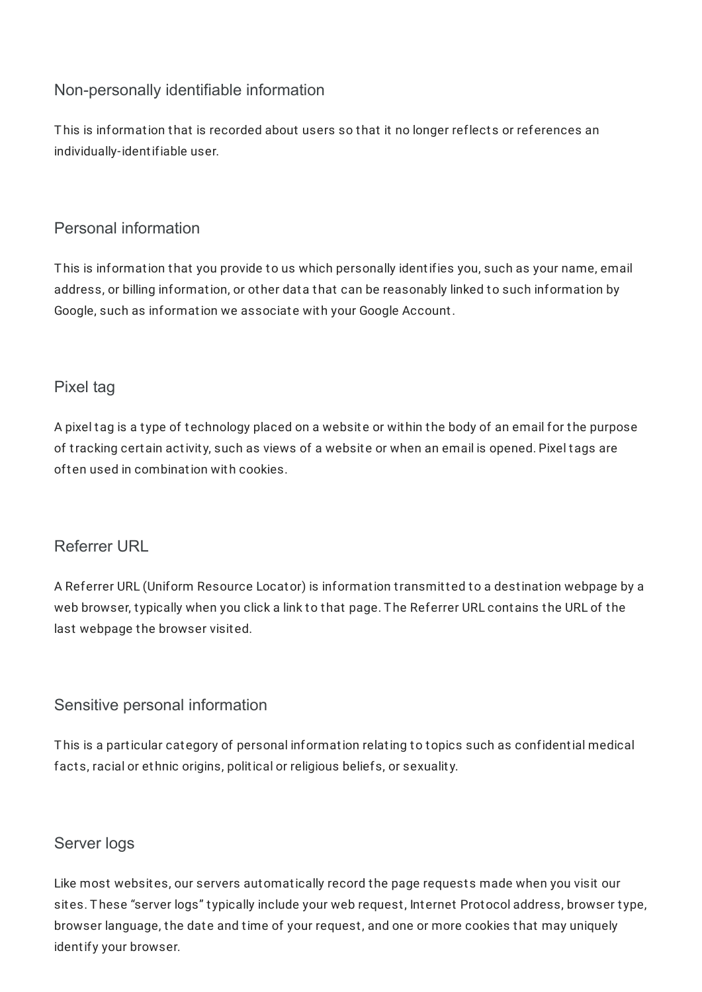## Non-personally identifiable information

This is information that is recorded about users so that it no longer reflects or references an individually-identifiable user.

### Personal information

This is information that you provide to us which personally identifies you, such as your name, email address, or billing information, or other data that can be reasonably linked to such information by Google, such as information we associate with your Google Account.

### Pixel tag

A pixel tag is a type of technology placed on a website or within the body of an email for the purpose of tracking certain activity, such as views of a website or when an email is opened. Pixel tags are often used in combination with cookies.

### Referrer URL

A Referrer URL (Uniform Resource Locator) is information transmitted to a destination webpage by a web browser, typically when you click a link to that page. The Referrer URL contains the URL of the last webpage the browser visited.

### Sensitive personal information

This is a particular category of personal information relating to topics such as confidential medical facts, racial or ethnic origins, political or religious beliefs, or sexuality.

### Server logs

Like most websites, our servers automatically record the page requests made when you visit our sites. These "server logs" typically include your web request, Internet Protocol address, browser type, browser language, the date and time of your request, and one or more cookies that may uniquely identify your browser.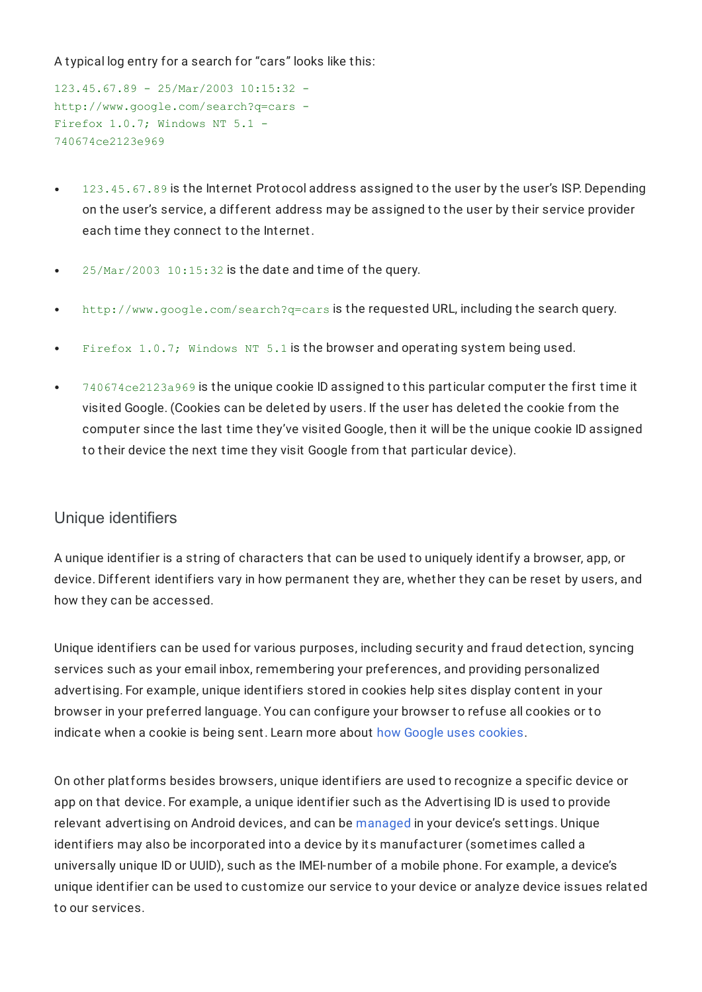A typical log entry for a search for "cars" looks like this:

```
123.45.67.89 - 25/Mar/2003 10:15:32 -
http://www.google.com/search?q=cars -
Firefox 1.0.7; Windows NT 5.1 -
740674ce2123e969
```
- 123.45.67.89 is the Internet Protocol address assigned to the user by the user's ISP. Depending on the user's service, a different address may be assigned to the user by their service provider each time they connect to the Internet.
- 25/Mar/2003 10:15:32 is the date and time of the query.  $\bullet$
- http://www.google.com/search?q=cars is the requested URL, including the search query.
- Firefox 1.0.7; Windows NT 5.1 is the browser and operating system being used.
- 740674ce2123a969 is the unique cookie ID assigned to this particular computer the first time it visited Google. (Cookies can be deleted by users. If the user has deleted the cookie from the computer since the last time they've visited Google, then it will be the unique cookie ID assigned to their device the next time they visit Google from that particular device).

#### Unique identifiers

A unique identifier is a string of characters that can be used to uniquely identify a browser, app, or device. Different identifiers vary in how permanent they are, whether they can be reset by users, and how they can be accessed.

Unique identifiers can be used for various purposes, including security and fraud detection, syncing services such as your email inbox, remembering your preferences, and providing personalized advertising. For example, unique identifiers stored in cookies help sites display content in your browser in your preferred language. You can configure your browser to refuse all cookies or to indicate when a cookie is being sent. Learn more about how Google uses [cookies.](https://policies.google.com/technologies/cookies)

On other platforms besides browsers, unique identifiers are used to recognize a specific device or app on that device. For example, a unique identifier such as the Advertising ID is used to provide relevant advertising on Android devices, and can be [managed](https://policies.google.com/technologies/ads) in your device's settings. Unique identifiers may also be incorporated into a device by its manufacturer (sometimes called a universally unique ID or UUID), such as the IMEI-number of a mobile phone. For example, a device's unique identifier can be used to customize our service to your device or analyze device issues related to our services.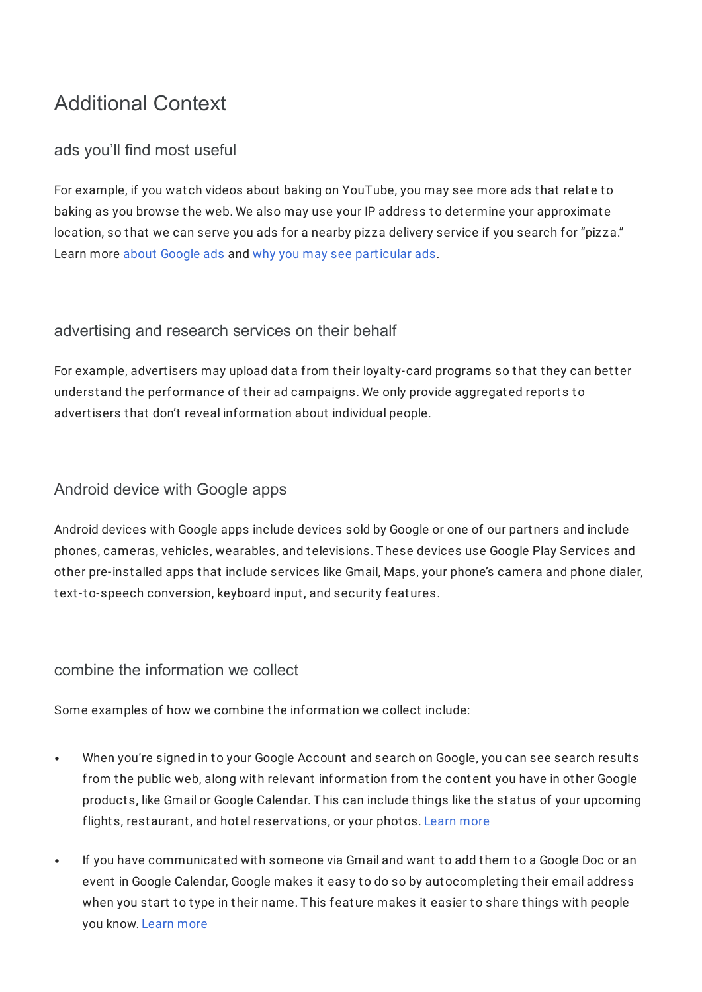# Additional Context

## ads you'll find most useful

For example, if you watch videos about baking on YouTube, you may see more ads that relate to baking as you browse the web. We also may use your IP address to determine your approximate location, so that we can serve you ads for a nearby pizza delivery service if you search for "pizza." Learn more about [Google](https://support.google.com/accounts?p=privpol_whyad) ads and why you may see [particular](https://support.google.com/accounts?p=privpol_whyad) ads.

### advertising and research services on their behalf

For example, advertisers may upload data from their loyalty-card programs so that they can better understand the performance of their ad campaigns. We only provide aggregated reports to advertisers that don't reveal information about individual people.

## Android device with Google apps

Android devices with Google apps include devices sold by Google or one of our partners and include phones, cameras, vehicles, wearables, and televisions. These devices use Google Play Services and other pre-installed apps that include services like Gmail, Maps, your phone's camera and phone dialer, text-to-speech conversion, keyboard input, and security features.

### combine the information we collect

Some examples of how we combine the information we collect include:

- When you're signed in to your Google Account and search on Google, you can see search results from the public web, along with relevant information from the content you have in other Google products, like Gmail or Google Calendar. This can include things like the status of your upcoming flights, restaurant, and hotel reservations, or your photos. [Learn](https://support.google.com/websearch?p=privpol_privresults&hl=en) more
- If you have communicated with someone via Gmail and want to add them to a Google Doc or an event in Google Calendar, Google makes it easy to do so by autocompleting their email address when you start to type in their name. This feature makes it easier to share things with people you know. [Learn](https://support.google.com/accounts?p=autocontacts&hl=en) more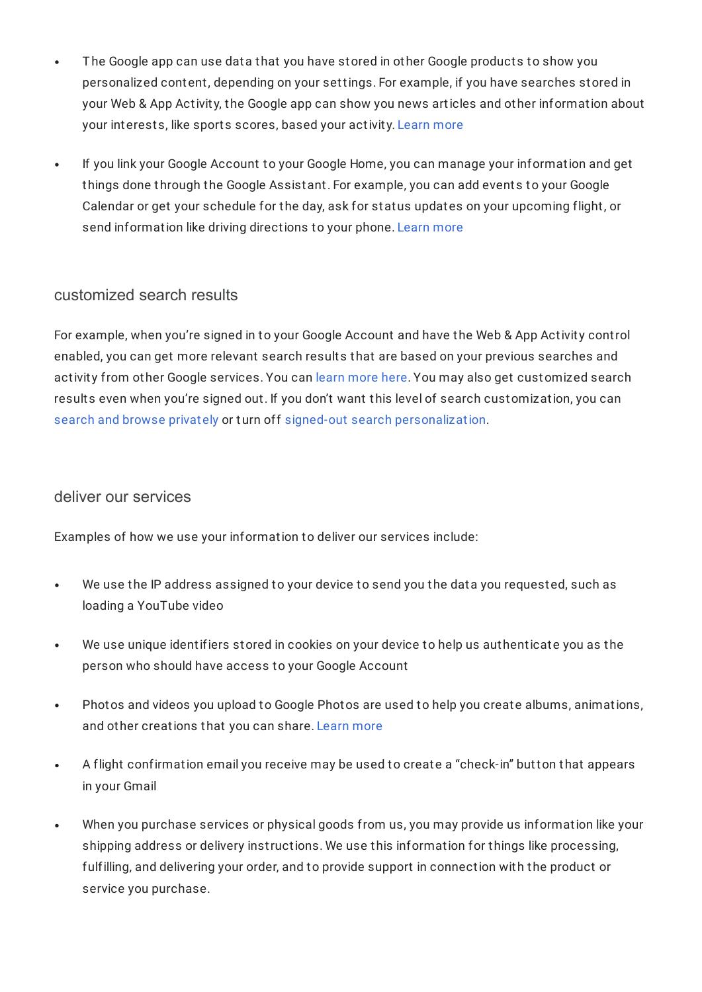- The Google app can use data that you have stored in other Google products to show you personalized content, depending on your settings. For example, if you have searches stored in your Web & App Activity, the Google app can show you news articles and other information about your interests, like sports scores, based your activity. [Learn](https://support.google.com/websearch?p=privpol_feed&hl=en) more
- If you link your Google Account to your Google Home, you can manage your information and get things done through the Google Assistant. For example, you can add events to your Google Calendar or get your schedule for the day, ask for status updates on your upcoming flight, or send information like driving directions to your phone. [Learn](https://support.google.com/googlehome?p=privpol_actions&hl=en) more

#### customized search results

For example, when you're signed in to your Google Account and have the Web & App Activity control enabled, you can get more relevant search results that are based on your previous searches and activity from other Google services. You can learn [more](https://support.google.com/websearch?p=privpol_searchactivity) here. You may also get customized search results even when you're signed out. If you don't want this level of search customization, you can search and browse [privately](https://support.google.com/websearch?p=privpol_incognito) or turn off signed-out search [personalization.](https://www.google.com/history/optout?utm_source=pp)

#### deliver our services

Examples of how we use your information to deliver our services include:

- We use the IP address assigned to your device to send you the data you requested, such as loading a YouTube video
- $\bullet$ We use unique identifiers stored in cookies on your device to help us authenticate you as the person who should have access to your Google Account
- Photos and videos you upload to Google Photos are used to help you create albums, animations, and other creations that you can share. [Learn](https://support.google.com/photos?p=privpol_manage) more
- $\bullet$ A flight confirmation email you receive may be used to create a "check-in" button that appears in your Gmail
- When you purchase services or physical goods from us, you may provide us information like your shipping address or delivery instructions. We use this information for things like processing, fulfilling, and delivering your order, and to provide support in connection with the product or service you purchase.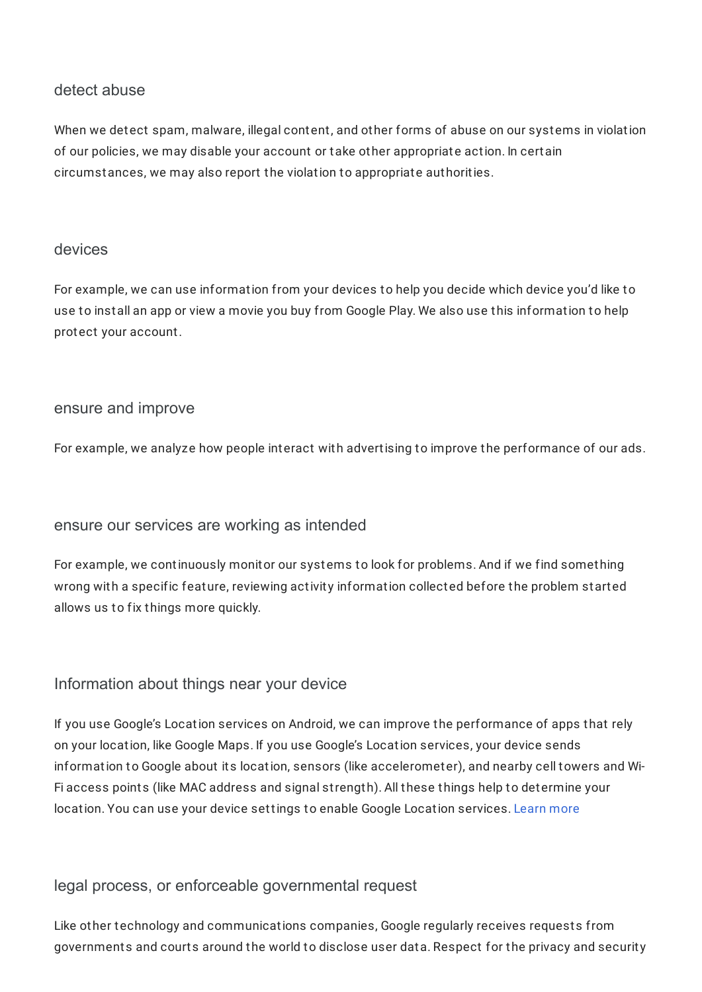#### detect abuse

When we detect spam, malware, illegal content, and other forms of abuse on our systems in violation of our policies, we may disable your account or take other appropriate action. In certain circumstances, we may also report the violation to appropriate authorities.

#### devices

For example, we can use information from your devices to help you decide which device you'd like to use to install an app or view a movie you buy from Google Play. We also use this information to help protect your account.

#### ensure and improve

For example, we analyze how people interact with advertising to improve the performance of our ads.

#### ensure our services are working as intended

For example, we continuously monitor our systems to look for problems. And if we find something wrong with a specific feature, reviewing activity information collected before the problem started allows us to fix things more quickly.

#### Information about things near your device

If you use Google's Location services on Android, we can improve the performance of apps that rely on your location, like Google Maps. If you use Google's Location services, your device sends information to Google about its location, sensors (like accelerometer), and nearby cell towers and Wi-Fi access points (like MAC address and signal strength). All these things help to determine your location. You can use your device settings to enable Google Location services. [Learn](https://support.google.com/accounts?p=privpol_androidloc&hl=en) more

#### legal process, or enforceable governmental request

Like other technology and communications companies, Google regularly receives requests from governments and courts around the world to disclose user data. Respect for the privacy and security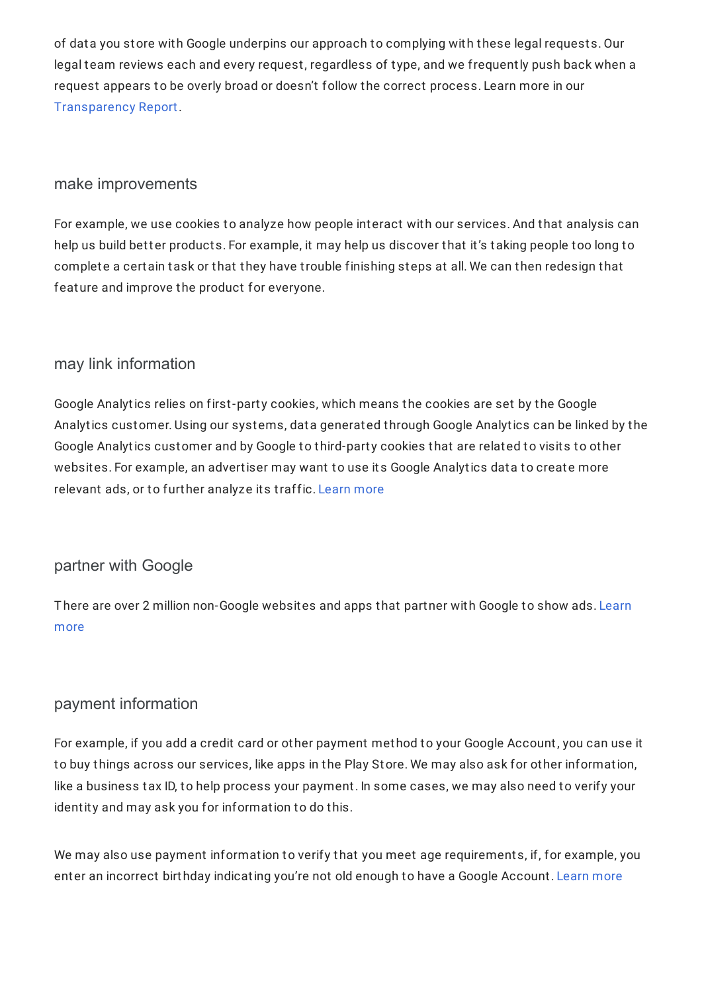of data you store with Google underpins our approach to complying with these legal requests. Our legal team reviews each and every request, regardless of type, and we frequently push back when a request appears to be overly broad or doesn't follow the correct process. Learn more in our [Transparency](https://transparencyreport.google.com/user-data/overview) Report.

#### make improvements

For example, we use cookies to analyze how people interact with our services. And that analysis can help us build better products. For example, it may help us discover that it's taking people too long to complete a certain task or that they have trouble finishing steps at all. We can then redesign that feature and improve the product for everyone.

#### may link information

Google Analytics relies on first-party cookies, which means the cookies are set by the Google Analytics customer. Using our systems, data generated through Google Analytics can be linked by the Google Analytics customer and by Google to third-party cookies that are related to visits to other websites. For example, an advertiser may want to use its Google Analytics data to create more relevant ads, or to further analyze its traffic. [Learn](https://support.google.com/analytics?p=privpol_data&hl=en) more

#### partner with Google

There are over 2 million [non-Google](https://support.google.com/accounts?p=privpol_controlads&hl=en) websites and apps that partner with Google to show ads. Learn more

#### payment information

For example, if you add a credit card or other payment method to your Google Account, you can use it to buy things across our services, like apps in the Play Store. We may also ask for other information, like a business tax ID, to help process your payment. In some cases, we may also need to verify your identity and may ask you for information to do this.

We may also use payment information to verify that you meet age requirements, if, for example, you enter an incorrect birthday indicating you're not old enough to have a Google Account. [Learn](https://support.google.com/accounts?p=privpol_agereq&hl=en) more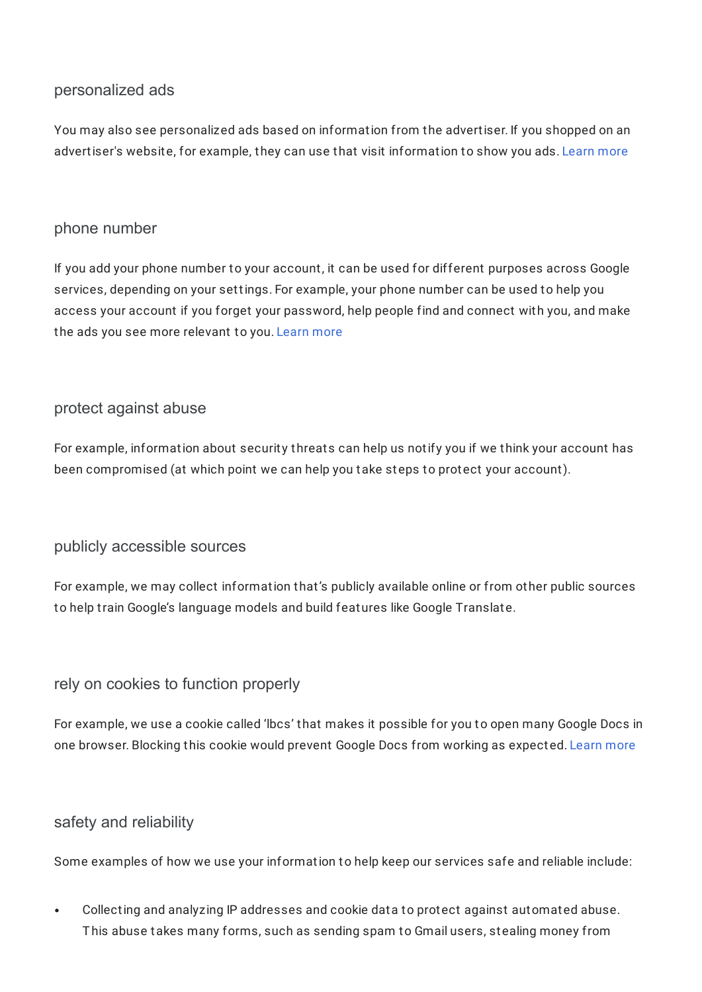### personalized ads

You may also see personalized ads based on information from the advertiser. If you shopped on an advertiser's website, for example, they can use that visit information to show you ads. [Learn](https://support.google.com/accounts?p=privpol_whyad&hl=en) more

#### phone number

If you add your phone number to your account, it can be used for different purposes across Google services, depending on your settings. For example, your phone number can be used to help you access your account if you forget your password, help people find and connect with you, and make the ads you see more relevant to you. [Learn](https://support.google.com/accounts?p=privpol_phone&hl=en) more

#### protect against abuse

For example, information about security threats can help us notify you if we think your account has been compromised (at which point we can help you take steps to protect your account).

#### publicly accessible sources

For example, we may collect information that's publicly available online or from other public sources to help train Google's language models and build features like Google Translate.

#### rely on cookies to function properly

For example, we use a cookie called 'lbcs' that makes it possible for you to open many Google Docs in one browser. Blocking this cookie would prevent Google Docs from working as expected. [Learn](https://policies.google.com/technologies/types) more

#### safety and reliability

Some examples of how we use your information to help keep our services safe and reliable include:

Collecting and analyzing IP addresses and cookie data to protect against automated abuse. This abuse takes many forms, such as sending spam to Gmail users, stealing money from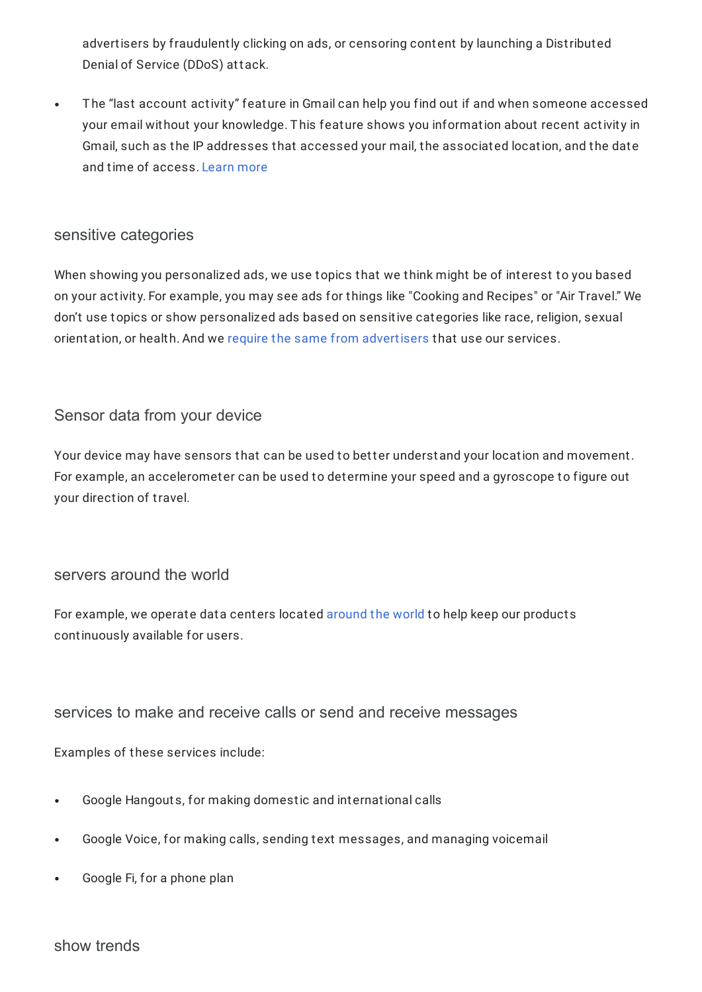advertisers by fraudulently clicking on ads, or censoring content by launching a Distributed Denial of Service (DDoS) attack.

The "last account activity" feature in Gmail can help you find out if and when someone accessed  $\bullet$ your email without your knowledge. This feature shows you information about recent activity in Gmail, such as the IP addresses that accessed your mail, the associated location, and the date and time of access. [Learn](https://support.google.com/mail?p=privpol_signinactivity&hl=en) more

#### sensitive categories

When showing you personalized ads, we use topics that we think might be of interest to you based on your activity. For example, you may see ads for things like "Cooking and Recipes" or "Air Travel." We don't use topics or show personalized ads based on sensitive categories like race, religion, sexual orientation, or health. And we require the same from [advertisers](https://support.google.com/adwordspolicy?p=privpol_p13nad) that use our services.

#### Sensor data from your device

Your device may have sensors that can be used to better understand your location and movement. For example, an accelerometer can be used to determine your speed and a gyroscope to figure out your direction of travel.

#### servers around the world

For example, we operate data centers located [around](https://www.google.com/about/datacenters/inside/locations) the world to help keep our products continuously available for users.

#### services to make and receive calls or send and receive messages

Examples of these services include:

- Google Hangouts, for making domestic and international calls  $\bullet$
- Google Voice, for making calls, sending text messages, and managing voicemail
- Google Fi, for a phone plan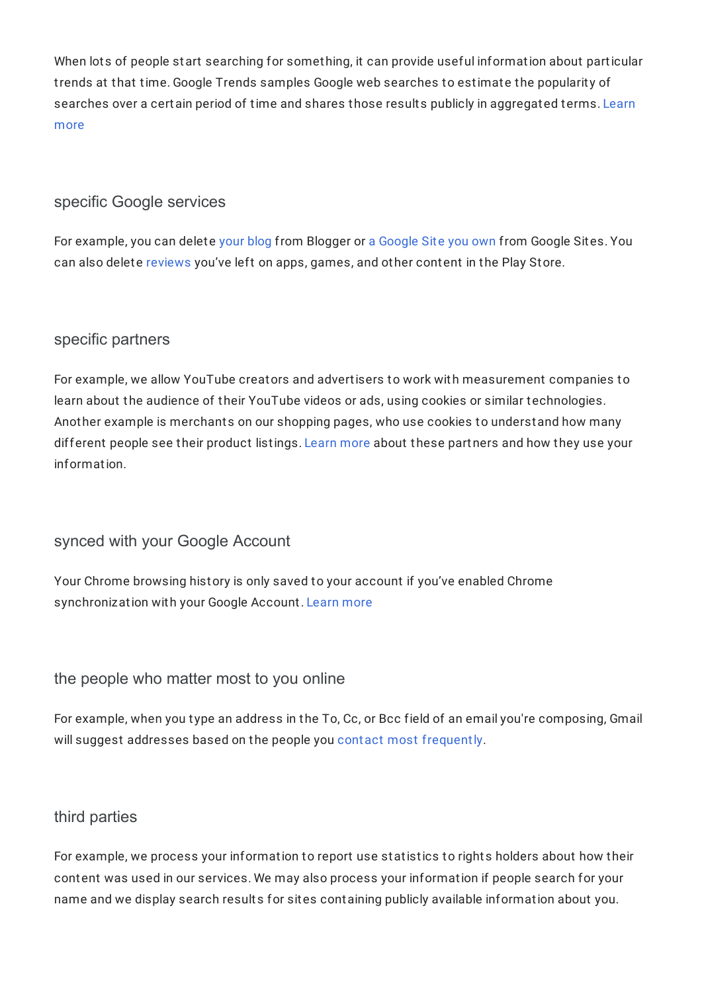When lots of people start searching for something, it can provide useful information about particular trends at that time. Google Trends samples Google web searches to estimate the popularity of searches over a certain period of time and shares those results publicly in [aggregated](https://support.google.com/trends?p=privpol_about) terms. Learn more

#### specific Google services

For example, you can delete [your](https://support.google.com/blogger?p=privpol_blog) blog from Blogger or a [Google](https://support.google.com/sites?p=privpol_delete) Site you own from Google Sites. You can also delete [reviews](https://support.google.com/googleplay?p=privpol_review) you've left on apps, games, and other content in the Play Store.

#### specific partners

For example, we allow YouTube creators and advertisers to work with measurement companies to learn about the audience of their YouTube videos or ads, using cookies or similar technologies. Another example is merchants on our shopping pages, who use cookies to understand how many different people see their product listings. [Learn](https://policies.google.com/privacy/google-partners) more about these partners and how they use your information.

### synced with your Google Account

Your Chrome browsing history is only saved to your account if you've enabled Chrome synchronization with your Google Account. [Learn](https://support.google.com/chrome?p=privpol_chrsync) more

#### the people who matter most to you online

For example, when you type an address in the To, Cc, or Bcc field of an email you're composing, Gmail will suggest addresses based on the people you contact most [frequently.](https://contacts.google.com/)

#### third parties

For example, we process your information to report use statistics to rights holders about how their content was used in our services. We may also process your information if people search for your name and we display search results for sites containing publicly available information about you.